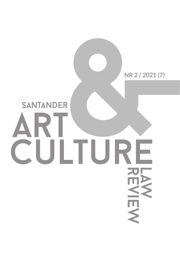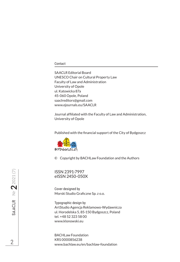### Contact

SAACLR Editorial Board UNESCO Chair on Cultural Property Law Faculty of Law and Administration University of Opole ul. Katowicka 87a 45-060 Opole, Poland saaclreditors@gmail.com www.ejournals.eu/SAACLR

Journal affiliated with the Faculty of Law and Administration, University of Opole

Published with the financial support of the City of Bydgoszcz



© Copyright by BACHLaw Foundation and the Authors

ISSN 2391-7997 eISSN 2450-050X

Cover designed by Morski Studio Graficzne Sp. z o.o.

Typographic design by ArtStudio Agencja Reklamowo-Wydawnicza ul. Horodelska 5, 85-150 Bydgoszcz, Poland tel. +48 52 323 58 00 www.klonowski.eu

BACHLaw Foundation KRS 0000856238 www.bachlaw.eu/en/bachlaw-foundation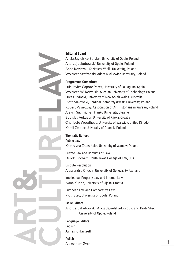

## **Editorial Board**

Alicja Jagielska-Burduk, University of Opole, Poland Andrzej Jakubowski, University of Opole, Poland Anna Koziczak, Kazimierz Wielki University, Poland Wojciech Szafrański, Adam Mickiewicz University, Poland

## **Programme Committee**

Luis Javier Capote Pérez, University of La Laguna, Spain Wojciech W. Kowalski, Silesian University of Technology, Poland Lucas Lixinski, University of New South Wales, Australia Piotr Majewski, Cardinal Stefan Wyszyński University, Poland Robert Pasieczny, Association of Art Historians in Warsaw, Poland Aleksij Suchyi, Ivan Franko University, Ukraine Budislav Vukas Jr, University of Rijeka, Croatia Charlotte Woodhead, University of Warwick, United Kingdom Kamil Zeidler, University of Gdańsk, Poland

# **Thematic Editors**

Public Law Katarzyna Zalasińska, University of Warsaw, Poland

Private Law and Conflicts of Law Derek Fincham, South Texas College of Law, USA

Dispute Resolution Alessandro Chechi, University of Geneva, Switzerland

Intellectual Property Law and Internet Law Ivana Kunda, University of Rijeka, Croatia

European Law and Comparative Law Piotr Stec, University of Opole, Poland

### **Issue Editors**

Andrzej Jakubowski, Alicja Jagielska-Burduk, and Piotr Stec, University of Opole, Poland

## **Language Editors**

English James F. Hartzell

Polish Aleksandra Zych